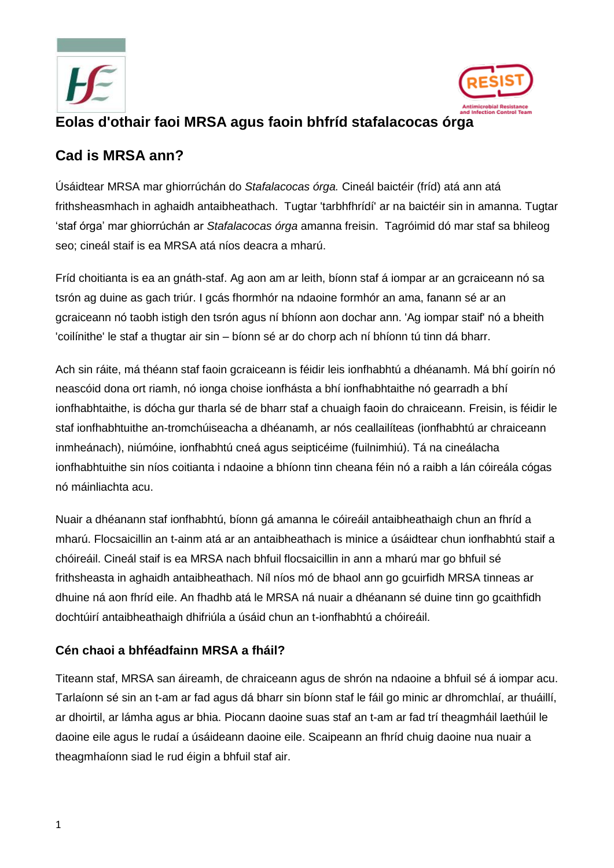



# **Eolas d'othair faoi MRSA agus faoin bhfríd stafalacocas órga**

## **Cad is MRSA ann?**

Úsáidtear MRSA mar ghiorrúchán do *Stafalacocas órga.* Cineál baictéir (fríd) atá ann atá frithsheasmhach in aghaidh antaibheathach. Tugtar 'tarbhfhrídí' ar na baictéir sin in amanna. Tugtar 'staf órga' mar ghiorrúchán ar *Stafalacocas órga* amanna freisin. Tagróimid dó mar staf sa bhileog seo; cineál staif is ea MRSA atá níos deacra a mharú.

Fríd choitianta is ea an gnáth-staf. Ag aon am ar leith, bíonn staf á iompar ar an gcraiceann nó sa tsrón ag duine as gach triúr. I gcás fhormhór na ndaoine formhór an ama, fanann sé ar an gcraiceann nó taobh istigh den tsrón agus ní bhíonn aon dochar ann. 'Ag iompar staif' nó a bheith 'coilínithe' le staf a thugtar air sin – bíonn sé ar do chorp ach ní bhíonn tú tinn dá bharr.

Ach sin ráite, má théann staf faoin gcraiceann is féidir leis ionfhabhtú a dhéanamh. Má bhí goirín nó neascóid dona ort riamh, nó ionga choise ionfhásta a bhí ionfhabhtaithe nó gearradh a bhí ionfhabhtaithe, is dócha gur tharla sé de bharr staf a chuaigh faoin do chraiceann. Freisin, is féidir le staf ionfhabhtuithe an-tromchúiseacha a dhéanamh, ar nós ceallailíteas (ionfhabhtú ar chraiceann inmheánach), niúmóine, ionfhabhtú cneá agus seipticéime (fuilnimhiú). Tá na cineálacha ionfhabhtuithe sin níos coitianta i ndaoine a bhíonn tinn cheana féin nó a raibh a lán cóireála cógas nó máinliachta acu.

Nuair a dhéanann staf ionfhabhtú, bíonn gá amanna le cóireáil antaibheathaigh chun an fhríd a mharú. Flocsaicillin an t-ainm atá ar an antaibheathach is minice a úsáidtear chun ionfhabhtú staif a chóireáil. Cineál staif is ea MRSA nach bhfuil flocsaicillin in ann a mharú mar go bhfuil sé frithsheasta in aghaidh antaibheathach. Níl níos mó de bhaol ann go gcuirfidh MRSA tinneas ar dhuine ná aon fhríd eile. An fhadhb atá le MRSA ná nuair a dhéanann sé duine tinn go gcaithfidh dochtúirí antaibheathaigh dhifriúla a úsáid chun an t-ionfhabhtú a chóireáil.

## **Cén chaoi a bhféadfainn MRSA a fháil?**

Titeann staf, MRSA san áireamh, de chraiceann agus de shrón na ndaoine a bhfuil sé á iompar acu. Tarlaíonn sé sin an t-am ar fad agus dá bharr sin bíonn staf le fáil go minic ar dhromchlaí, ar thuáillí, ar dhoirtil, ar lámha agus ar bhia. Piocann daoine suas staf an t-am ar fad trí theagmháil laethúil le daoine eile agus le rudaí a úsáideann daoine eile. Scaipeann an fhríd chuig daoine nua nuair a theagmhaíonn siad le rud éigin a bhfuil staf air.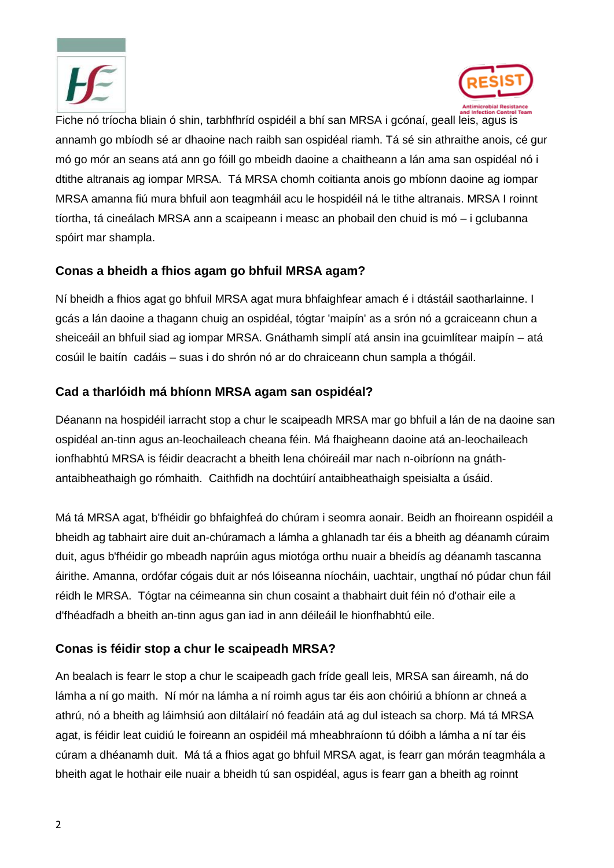



Fiche nó tríocha bliain ó shin, tarbhfhríd ospidéil a bhí san MRSA i gcónaí, geall leis, agus is annamh go mbíodh sé ar dhaoine nach raibh san ospidéal riamh. Tá sé sin athraithe anois, cé gur mó go mór an seans atá ann go fóill go mbeidh daoine a chaitheann a lán ama san ospidéal nó i dtithe altranais ag iompar MRSA. Tá MRSA chomh coitianta anois go mbíonn daoine ag iompar MRSA amanna fiú mura bhfuil aon teagmháil acu le hospidéil ná le tithe altranais. MRSA I roinnt tíortha, tá cineálach MRSA ann a scaipeann i measc an phobail den chuid is mó – i gclubanna spóirt mar shampla.

### **Conas a bheidh a fhios agam go bhfuil MRSA agam?**

Ní bheidh a fhios agat go bhfuil MRSA agat mura bhfaighfear amach é i dtástáil saotharlainne. I gcás a lán daoine a thagann chuig an ospidéal, tógtar 'maipín' as a srón nó a gcraiceann chun a sheiceáil an bhfuil siad ag iompar MRSA. Gnáthamh simplí atá ansin ina gcuimlítear maipín – atá cosúil le baitín cadáis – suas i do shrón nó ar do chraiceann chun sampla a thógáil.

### **Cad a tharlóidh má bhíonn MRSA agam san ospidéal?**

Déanann na hospidéil iarracht stop a chur le scaipeadh MRSA mar go bhfuil a lán de na daoine san ospidéal an-tinn agus an-leochaileach cheana féin. Má fhaigheann daoine atá an-leochaileach ionfhabhtú MRSA is féidir deacracht a bheith lena chóireáil mar nach n-oibríonn na gnáthantaibheathaigh go rómhaith. Caithfidh na dochtúirí antaibheathaigh speisialta a úsáid.

Má tá MRSA agat, b'fhéidir go bhfaighfeá do chúram i seomra aonair. Beidh an fhoireann ospidéil a bheidh ag tabhairt aire duit an-chúramach a lámha a ghlanadh tar éis a bheith ag déanamh cúraim duit, agus b'fhéidir go mbeadh naprúin agus miotóga orthu nuair a bheidís ag déanamh tascanna áirithe. Amanna, ordófar cógais duit ar nós lóiseanna níocháin, uachtair, ungthaí nó púdar chun fáil réidh le MRSA. Tógtar na céimeanna sin chun cosaint a thabhairt duit féin nó d'othair eile a d'fhéadfadh a bheith an-tinn agus gan iad in ann déileáil le hionfhabhtú eile.

### **Conas is féidir stop a chur le scaipeadh MRSA?**

An bealach is fearr le stop a chur le scaipeadh gach fríde geall leis, MRSA san áireamh, ná do lámha a ní go maith. Ní mór na lámha a ní roimh agus tar éis aon chóiriú a bhíonn ar chneá a athrú, nó a bheith ag láimhsiú aon diltálairí nó feadáin atá ag dul isteach sa chorp. Má tá MRSA agat, is féidir leat cuidiú le foireann an ospidéil má mheabhraíonn tú dóibh a lámha a ní tar éis cúram a dhéanamh duit. Má tá a fhios agat go bhfuil MRSA agat, is fearr gan mórán teagmhála a bheith agat le hothair eile nuair a bheidh tú san ospidéal, agus is fearr gan a bheith ag roinnt